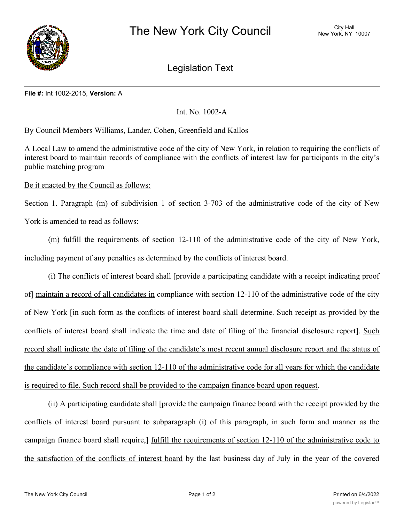

Legislation Text

## **File #:** Int 1002-2015, **Version:** A

Int. No. 1002-A

By Council Members Williams, Lander, Cohen, Greenfield and Kallos

A Local Law to amend the administrative code of the city of New York, in relation to requiring the conflicts of interest board to maintain records of compliance with the conflicts of interest law for participants in the city's public matching program

Be it enacted by the Council as follows:

Section 1. Paragraph (m) of subdivision 1 of section 3-703 of the administrative code of the city of New York is amended to read as follows:

(m) fulfill the requirements of section 12-110 of the administrative code of the city of New York, including payment of any penalties as determined by the conflicts of interest board.

(i) The conflicts of interest board shall [provide a participating candidate with a receipt indicating proof of] maintain a record of all candidates in compliance with section 12-110 of the administrative code of the city of New York [in such form as the conflicts of interest board shall determine. Such receipt as provided by the conflicts of interest board shall indicate the time and date of filing of the financial disclosure report]. Such record shall indicate the date of filing of the candidate's most recent annual disclosure report and the status of the candidate's compliance with section 12-110 of the administrative code for all years for which the candidate is required to file. Such record shall be provided to the campaign finance board upon request.

(ii) A participating candidate shall [provide the campaign finance board with the receipt provided by the conflicts of interest board pursuant to subparagraph (i) of this paragraph, in such form and manner as the campaign finance board shall require,] fulfill the requirements of section 12-110 of the administrative code to the satisfaction of the conflicts of interest board by the last business day of July in the year of the covered